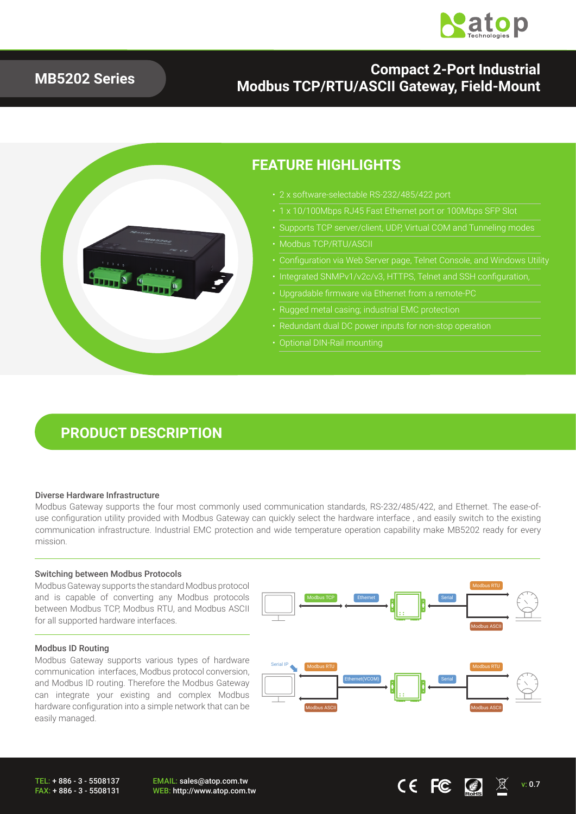

### **MB5202 Series**

### **Compact 2-Port Industrial Modbus TCP/RTU/ASCII Gateway, Field-Mount**



### **FEATURE HIGHLIGHTS**

- 
- 1 x 10/100Mbps RJ45 Fast Ethernet port or 100Mbps SFP Slot
- Supports TCP server/client, UDP, Virtual COM and Tunneling modes
- Modbus TCP/RTU/ASCII
- Configuration via Web Server page, Telnet Console, and Windows Utility
- Integrated SNMPv1/v2c/v3, HTTPS, Telnet and SSH configuration,
- Upgradable firmware via Ethernet from a remote-PC
- Rugged metal casing; industrial EMC protection
- 
- 

## **PRODUCT DESCRIPTION**

#### Diverse Hardware Infrastructure

Modbus Gateway supports the four most commonly used communication standards, RS-232/485/422, and Ethernet. The ease-ofuse configuration utility provided with Modbus Gateway can quickly select the hardware interface , and easily switch to the existing communication infrastructure. Industrial EMC protection and wide temperature operation capability make MB5202 ready for every mission.

#### Switching between Modbus Protocols

Modbus Gateway supports the standard Modbus protocol and is capable of converting any Modbus protocols between Modbus TCP, Modbus RTU, and Modbus ASCII for all supported hardware interfaces.

#### Modbus ID Routing

Modbus Gateway supports various types of hardware communication interfaces, Modbus protocol conversion, and Modbus ID routing. Therefore the Modbus Gateway can integrate your existing and complex Modbus hardware configuration into a simple network that can be easily managed.

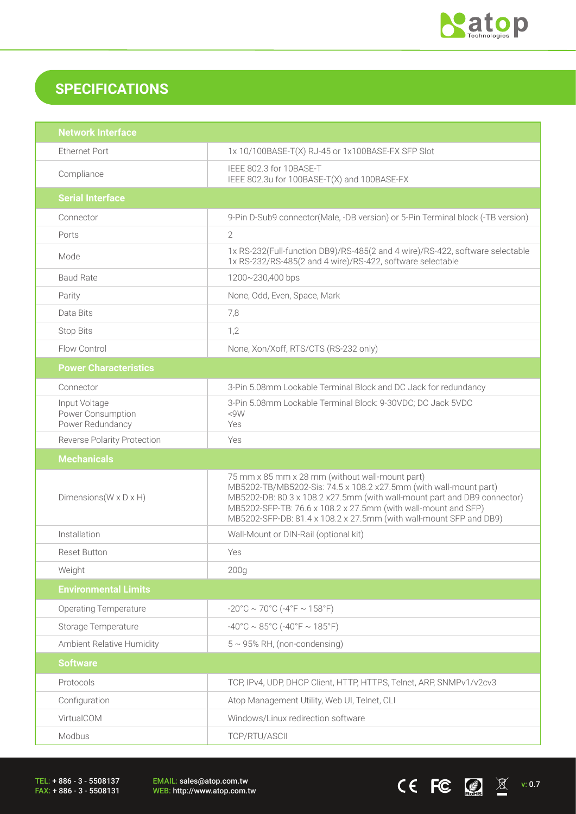

CEFC  $\bigcirc$   $\mathbb{Z}$   $\mathbb{X}$  v: 0.7

## **SPECIFICATIONS**

| <b>Network Interface</b>                               |                                                                                                                                                                                                                                                                                                                                          |  |  |
|--------------------------------------------------------|------------------------------------------------------------------------------------------------------------------------------------------------------------------------------------------------------------------------------------------------------------------------------------------------------------------------------------------|--|--|
| <b>Ethernet Port</b>                                   | 1x 10/100BASE-T(X) RJ-45 or 1x100BASE-FX SFP Slot                                                                                                                                                                                                                                                                                        |  |  |
| Compliance                                             | IEEE 802.3 for 10BASE-T<br>IEEE 802.3u for 100BASE-T(X) and 100BASE-FX                                                                                                                                                                                                                                                                   |  |  |
| <b>Serial Interface</b>                                |                                                                                                                                                                                                                                                                                                                                          |  |  |
| Connector                                              | 9-Pin D-Sub9 connector(Male, -DB version) or 5-Pin Terminal block (-TB version)                                                                                                                                                                                                                                                          |  |  |
| Ports                                                  | $\overline{2}$                                                                                                                                                                                                                                                                                                                           |  |  |
| Mode                                                   | 1x RS-232(Full-function DB9)/RS-485(2 and 4 wire)/RS-422, software selectable<br>1x RS-232/RS-485(2 and 4 wire)/RS-422, software selectable                                                                                                                                                                                              |  |  |
| <b>Baud Rate</b>                                       | 1200~230,400 bps                                                                                                                                                                                                                                                                                                                         |  |  |
| Parity                                                 | None, Odd, Even, Space, Mark                                                                                                                                                                                                                                                                                                             |  |  |
| Data Bits                                              | 7,8                                                                                                                                                                                                                                                                                                                                      |  |  |
| <b>Stop Bits</b>                                       | 1,2                                                                                                                                                                                                                                                                                                                                      |  |  |
| Flow Control                                           | None, Xon/Xoff, RTS/CTS (RS-232 only)                                                                                                                                                                                                                                                                                                    |  |  |
| <b>Power Characteristics</b>                           |                                                                                                                                                                                                                                                                                                                                          |  |  |
| Connector                                              | 3-Pin 5.08mm Lockable Terminal Block and DC Jack for redundancy                                                                                                                                                                                                                                                                          |  |  |
| Input Voltage<br>Power Consumption<br>Power Redundancy | 3-Pin 5.08mm Lockable Terminal Block: 9-30VDC; DC Jack 5VDC<br><9W<br>Yes                                                                                                                                                                                                                                                                |  |  |
| <b>Reverse Polarity Protection</b>                     | Yes                                                                                                                                                                                                                                                                                                                                      |  |  |
|                                                        |                                                                                                                                                                                                                                                                                                                                          |  |  |
| <b>Mechanicals</b>                                     |                                                                                                                                                                                                                                                                                                                                          |  |  |
| Dimensions ( $W \times D \times H$ )                   | 75 mm x 85 mm x 28 mm (without wall-mount part)<br>MB5202-TB/MB5202-Sis: 74.5 x 108.2 x27.5mm (with wall-mount part)<br>MB5202-DB: 80.3 x 108.2 x27.5mm (with wall-mount part and DB9 connector)<br>MB5202-SFP-TB: 76.6 x 108.2 x 27.5mm (with wall-mount and SFP)<br>MB5202-SFP-DB: 81.4 x 108.2 x 27.5mm (with wall-mount SFP and DB9) |  |  |
| Installation                                           | Wall-Mount or DIN-Rail (optional kit)                                                                                                                                                                                                                                                                                                    |  |  |
| <b>Reset Button</b>                                    | Yes                                                                                                                                                                                                                                                                                                                                      |  |  |
| Weight                                                 | 200 <sub>g</sub>                                                                                                                                                                                                                                                                                                                         |  |  |
| <b>Environmental Limits</b>                            |                                                                                                                                                                                                                                                                                                                                          |  |  |
| <b>Operating Temperature</b>                           | $-20^{\circ}$ C ~ 70°C ( $-4^{\circ}$ F ~ 158°F)                                                                                                                                                                                                                                                                                         |  |  |
| Storage Temperature                                    | $-40^{\circ}$ C ~ 85°C (-40°F ~ 185°F)                                                                                                                                                                                                                                                                                                   |  |  |
| Ambient Relative Humidity                              | $5 \sim 95\%$ RH, (non-condensing)                                                                                                                                                                                                                                                                                                       |  |  |
| <b>Software</b>                                        |                                                                                                                                                                                                                                                                                                                                          |  |  |
| Protocols                                              | TCP, IPv4, UDP, DHCP Client, HTTP, HTTPS, Telnet, ARP, SNMPv1/v2cv3                                                                                                                                                                                                                                                                      |  |  |
| Configuration                                          | Atop Management Utility, Web UI, Telnet, CLI                                                                                                                                                                                                                                                                                             |  |  |
| VirtualCOM                                             | Windows/Linux redirection software                                                                                                                                                                                                                                                                                                       |  |  |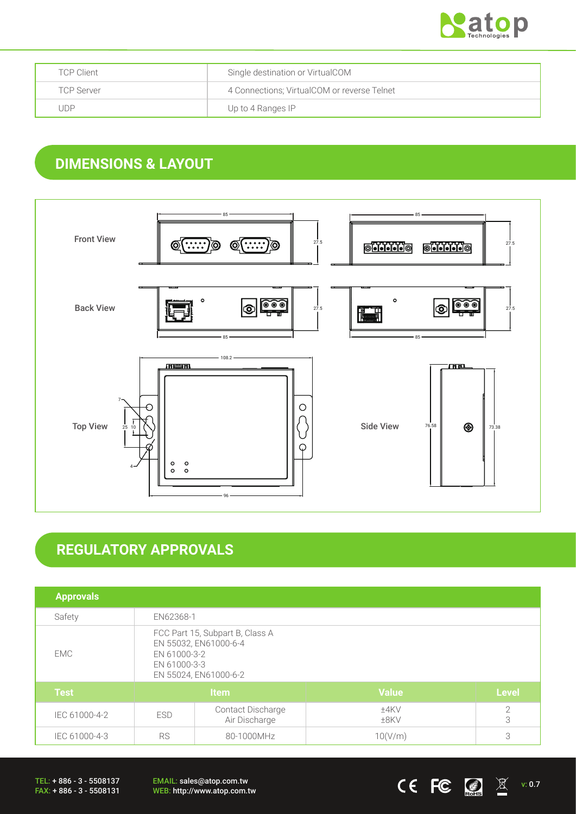

| <b>TCP Client</b> | Single destination or VirtualCOM            |
|-------------------|---------------------------------------------|
| <b>TCP Server</b> | 4 Connections; VirtualCOM or reverse Telnet |
| . JDP             | Up to 4 Ranges IP                           |

## **DIMENSIONS & LAYOUT**



# **REGULATORY APPROVALS**

| <b>Approvals</b> |                                                                                                                   |                                    |                 |                 |
|------------------|-------------------------------------------------------------------------------------------------------------------|------------------------------------|-----------------|-----------------|
| Safety           | EN62368-1                                                                                                         |                                    |                 |                 |
| EMC              | FCC Part 15, Subpart B, Class A<br>EN 55032, EN61000-6-4<br>EN 61000-3-2<br>EN 61000-3-3<br>EN 55024, EN61000-6-2 |                                    |                 |                 |
| <b>Test</b>      | Item                                                                                                              |                                    | <b>Value</b>    | <b>Level</b>    |
| IEC 61000-4-2    | <b>ESD</b>                                                                                                        | Contact Discharge<br>Air Discharge | ±4KV<br>$±8$ KV | $\sqrt{2}$<br>3 |
| IEC 61000-4-3    | <b>RS</b><br>80-1000MHz                                                                                           |                                    | 10(V/m)         | 3               |